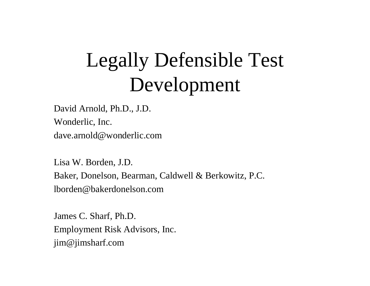# Legally Defensible Test Development

David Arnold, Ph.D., J.D. Wonderlic, Inc. dave.arnold@wonderlic.com

Lisa W. Borden, J.D. Baker, Donelson, Bearman, Caldwell & Berkowitz, P.C. lborden@bakerdonelson.com

James C. Sharf, Ph.D. Employment Risk Advisors, Inc. jim@jimsharf.com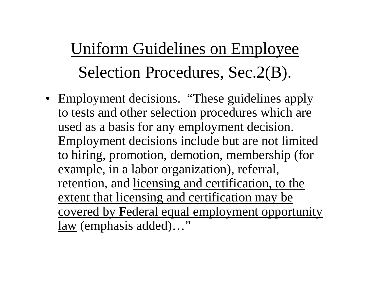Uniform Guidelines on Employee Selection Procedures, Sec.2(B).

• Employment decisions. "These guidelines apply to tests and other selection procedures which are used as a basis for any employment decision. Employment decisions include but are not limited to hiring, promotion, demotion, membership (for example, in a labor organization), referral, retention, and licensing and certification, to the extent that licensing and certification may be covered by Federal equal employment opportunity law (emphasis added)…"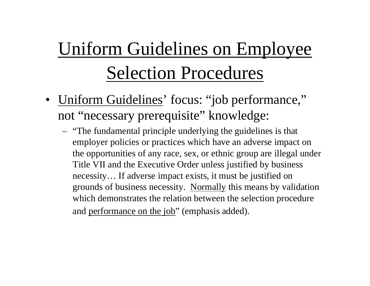# Uniform Guidelines on Employee Selection Procedures

- Uniform Guidelines' focus: "job performance," not "necessary prerequisite" knowledge:
	- "The fundamental principle underlying the guidelines is that employer policies or practices which have an adverse impact on the opportunities of any race, sex, or ethnic group are illegal under Title VII and the Executive Order unless justified by business necessity… If adverse impact exists, it must be justified on grounds of business necessity. Normally this means by validation which demonstrates the relation between the selection procedure and performance on the job" (emphasis added).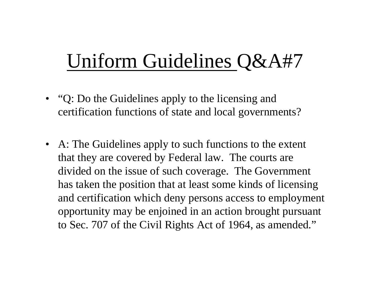## Uniform Guidelines Q&A#7

- "Q: Do the Guidelines apply to the licensing and certification functions of state and local governments?
- A: The Guidelines apply to such functions to the extent that they are covered by Federal law. The courts are divided on the issue of such coverage. The Government has taken the position that at least some kinds of licensing and certification which deny persons access to employment opportunity may be enjoined in an action brought pursuant to Sec. 707 of the Civil Rights Act of 1964, as amended."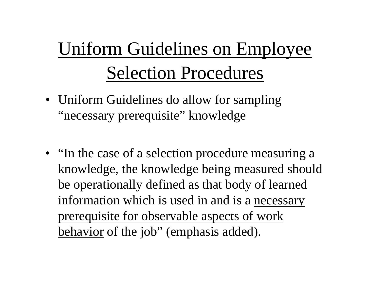# Uniform Guidelines on Employee Selection Procedures

- Uniform Guidelines do allow for sampling "necessary prerequisite" knowledge
- "In the case of a selection procedure measuring a knowledge, the knowledge being measured should be operationally defined as that body of learned information which is used in and is a necessary prerequisite for observable aspects of work behavior of the job" (emphasis added).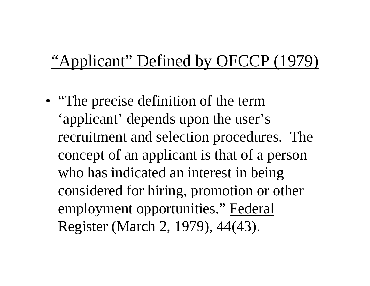### "Applicant" Defined by OFCCP (1979)

• "The precise definition of the term 'applicant' depends upon the user's recruitment and selection procedures. The concept of an applicant is that of a person who has indicated an interest in being considered for hiring, promotion or other employment opportunities." Federal Register (March 2, 1979), 44(43).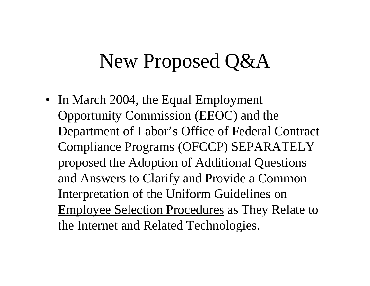• In March 2004, the Equal Employment Opportunity Commission (EEOC) and the Department of Labor's Office of Federal Contract Compliance Programs (OFCCP) SEPARATELY proposed the Adoption of Additional Questions and Answers to Clarify and Provide a Common Interpretation of the Uniform Guidelines on Employee Selection Procedures as They Relate to the Internet and Related Technologies.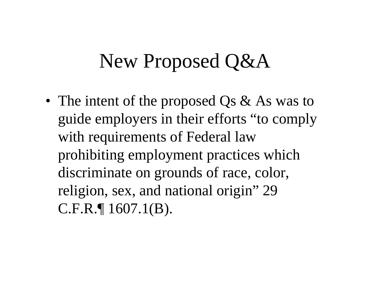• The intent of the proposed Qs & As was to guide employers in their efforts "to comply with requirements of Federal law prohibiting employment practices which discriminate on grounds of race, color, religion, sex, and national origin" 29 C.F.R.¶ 1607.1(B).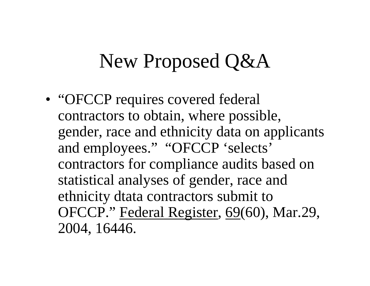• "OFCCP requires covered federal contractors to obtain, where possible, gender, race and ethnicity data on applicants and employees." "OFCCP 'selects' contractors for compliance audits based on statistical analyses of gender, race and ethnicity dtata contractors submit to OFCCP." Federal Register, 69(60), Mar.29, 2004, 16446.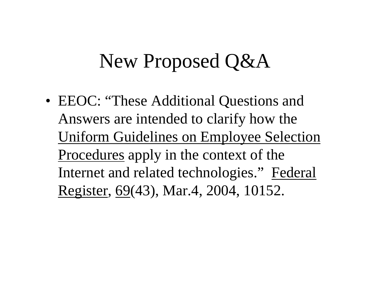• EEOC: "These Additional Questions and Answers are intended to clarify how the Uniform Guidelines on Employee Selection Procedures apply in the context of the Internet and related technologies." Federal Register, 69(43), Mar.4, 2004, 10152.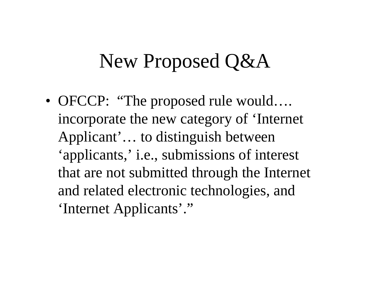• OFCCP: "The proposed rule would.... incorporate the new category of 'Internet Applicant'… to distinguish between 'applicants,' i.e., submissions of interest that are not submitted through the Internet and related electronic technologies, and 'Internet Applicants'."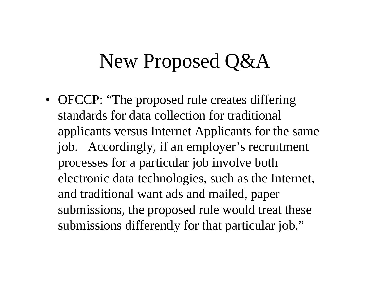• OFCCP: "The proposed rule creates differing standards for data collection for traditional applicants versus Internet Applicants for the same job. Accordingly, if an employer's recruitment processes for a particular job involve both electronic data technologies, such as the Internet, and traditional want ads and mailed, paper submissions, the proposed rule would treat these submissions differently for that particular job."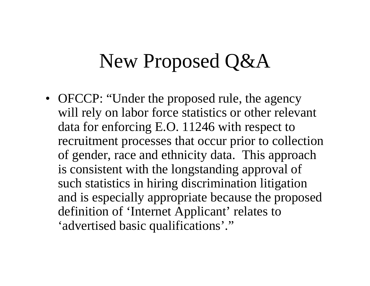• OFCCP: "Under the proposed rule, the agency will rely on labor force statistics or other relevant data for enforcing E.O. 11246 with respect to recruitment processes that occur prior to collection of gender, race and ethnicity data. This approach is consistent with the longstanding approval of such statistics in hiring discrimination litigation and is especially appropriate because the proposed definition of 'Internet Applicant' relates to 'advertised basic qualifications'."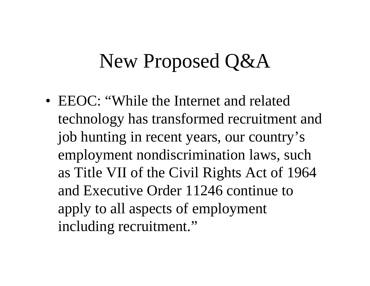• EEOC: "While the Internet and related technology has transformed recruitment and job hunting in recent years, our country's employment nondiscrimination laws, such as Title VII of the Civil Rights Act of 1964 and Executive Order 11246 continue to apply to all aspects of employment including recruitment."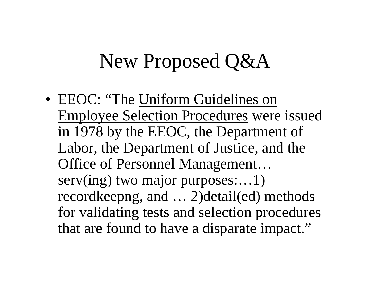• EEOC: "The Uniform Guidelines on Employee Selection Procedures were issued in 1978 by the EEOC, the Department of Labor, the Department of Justice, and the Office of Personnel Management… serv(ing) two major purposes:...1) recordkeepng, and … 2)detail(ed) methods for validating tests and selection procedures that are found to have a disparate impact."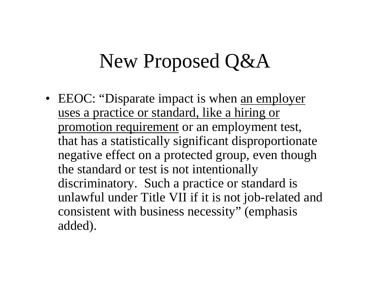• EEOC: "Disparate impact is when <u>an employer</u> uses a practice or standard, like a hiring or promotion requirement or an employment test, that has a statistically significant disproportionate negative effect on a protected group, even though the standard or test is not intentionally discriminatory. Such a practice or standard is unlawful under Title VII if it is not job-related and consistent with business necessity" (emphasis added).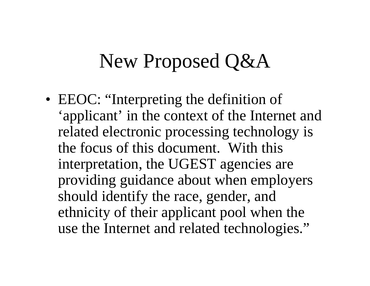• EEOC: "Interpreting the definition of 'applicant' in the context of the Internet and related electronic processing technology is the focus of this document. With this interpretation, the UGEST agencies are providing guidance about when employers should identify the race, gender, and ethnicity of their applicant pool when the use the Internet and related technologies."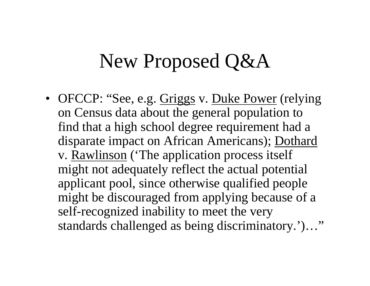• OFCCP: "See, e.g. Griggs v. Duke Power (relying on Census data about the general population to find that a high school degree requirement had a disparate impact on African Americans); Dothard v. Rawlinson ('The application process itself might not adequately reflect the actual potential applicant pool, since otherwise qualified people might be discouraged from applying because of a self-recognized inability to meet the very standards challenged as being discriminatory.')…"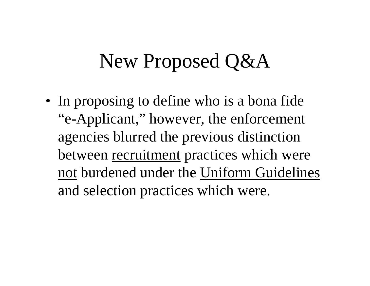• In proposing to define who is a bona fide "e-Applicant," however, the enforcement agencies blurred the previous distinction between recruitment practices which were not burdened under the Uniform Guidelines and selection practices which were.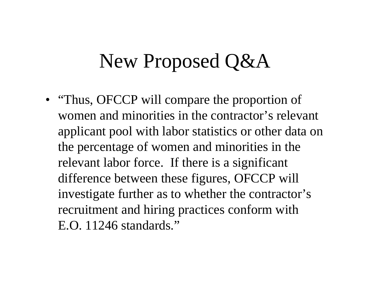• "Thus, OFCCP will compare the proportion of women and minorities in the contractor's relevant applicant pool with labor statistics or other data on the percentage of women and minorities in the relevant labor force. If there is a significant difference between these figures, OFCCP will investigate further as to whether the contractor's recruitment and hiring practices conform with E.O. 11246 standards."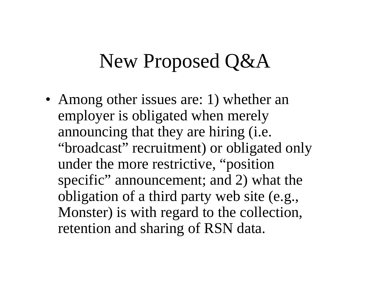• Among other issues are: 1) whether an employer is obligated when merely announcing that they are hiring (i.e. "broadcast" recruitment) or obligated only under the more restrictive, "position specific" announcement; and 2) what the obligation of a third party web site (e.g., Monster) is with regard to the collection, retention and sharing of RSN data.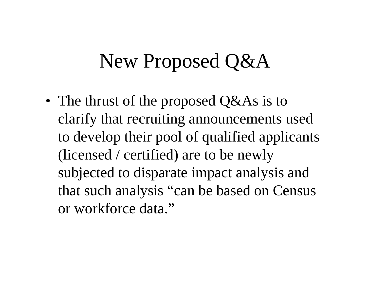• The thrust of the proposed Q&As is to clarify that recruiting announcements used to develop their pool of qualified applicants (licensed / certified) are to be newly subjected to disparate impact analysis and that such analysis "can be based on Census or workforce data."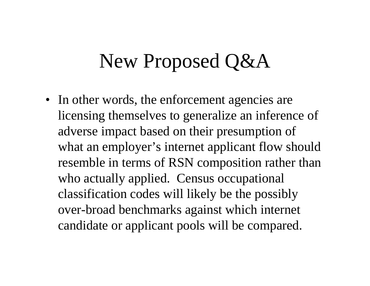• In other words, the enforcement agencies are licensing themselves to generalize an inference of adverse impact based on their presumption of what an employer's internet applicant flow should resemble in terms of RSN composition rather than who actually applied. Census occupational classification codes will likely be the possibly over-broad benchmarks against which internet candidate or applicant pools will be compared.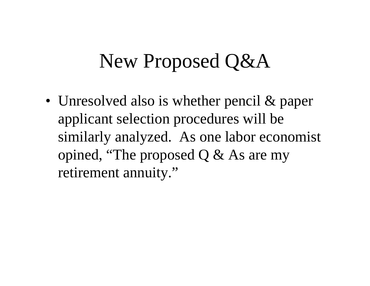• Unresolved also is whether pencil & paper applicant selection procedures will be similarly analyzed. As one labor economist opined, "The proposed Q & As are my retirement annuity."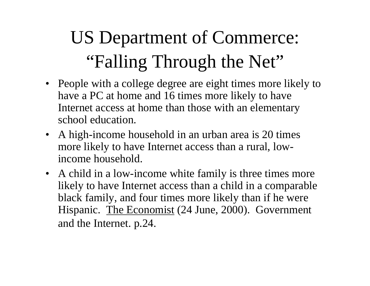# US Department of Commerce: "Falling Through the Net"

- People with a college degree are eight times more likely to have a PC at home and 16 times more likely to have Internet access at home than those with an elementary school education.
- A high-income household in an urban area is 20 times more likely to have Internet access than a rural, lowincome household.
- A child in a low-income white family is three times more likely to have Internet access than a child in a comparable black family, and four times more likely than if he were Hispanic. The Economist (24 June, 2000). Government and the Internet. p.24.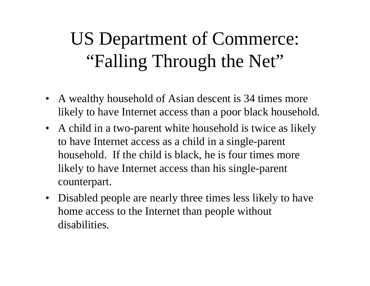### US Department of Commerce: "Falling Through the Net"

- A wealthy household of Asian descent is 34 times more likely to have Internet access than a poor black household.
- A child in a two-parent white household is twice as likely to have Internet access as a child in a single-parent household. If the child is black, he is four times more likely to have Internet access than his single-parent counterpart.
- $\bullet$  Disabled people are nearly three times less likely to have home access to the Internet than people without disabilities.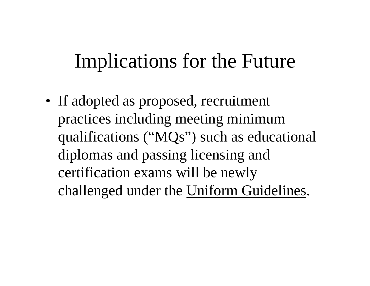### Implications for the Future

• If adopted as proposed, recruitment practices including meeting minimum qualifications ("MQs") such as educational diplomas and passing licensing and certification exams will be newly challenged under the Uniform Guidelines.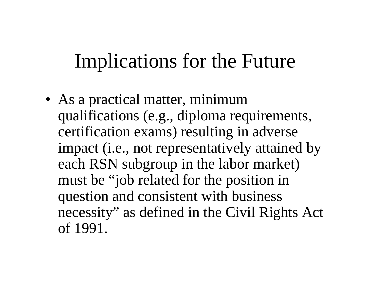### Implications for the Future

• As a practical matter, minimum qualifications (e.g., diploma requirements, certification exams) resulting in adverse impact (i.e., not representatively attained by each RSN subgroup in the labor market) must be "job related for the position in question and consistent with business necessity" as defined in the Civil Rights Act of 1991.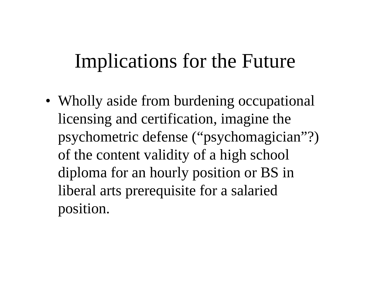### Implications for the Future

• Wholly aside from burdening occupational licensing and certification, imagine the psychometric defense ("psychomagician"?) of the content validity of a high school diploma for an hourly position or BS in liberal arts prerequisite for a salaried position.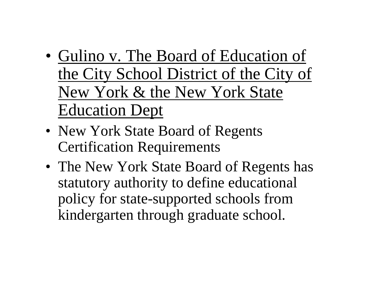- Gulino v. The Board of Education of the City School District of the City of New York & the New York State Education Dept
- New York State Board of Regents Certification Requirements
- The New York State Board of Regents has statutory authority to define educational policy for state-supported schools from kindergarten through graduate school.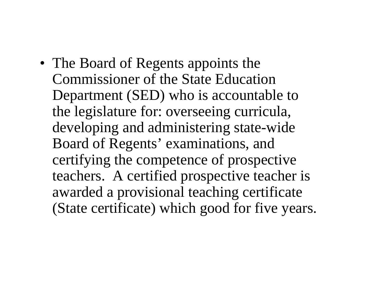• The Board of Regents appoints the Commissioner of the State Education Department (SED) who is accountable to the legislature for: overseeing curricula, developing and administering state-wide Board of Regents' examinations, and certifying the competence of prospective teachers. A certified prospective teacher is awarded a provisional teaching certificate (State certificate) which good for five years.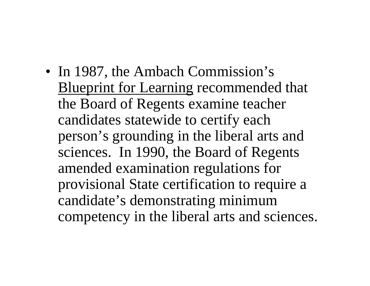• In 1987, the Ambach Commission's Blueprint for Learning recommended that the Board of Regents examine teacher candidates statewide to certify each person's grounding in the liberal arts and sciences. In 1990, the Board of Regents amended examination regulations for provisional State certification to require a candidate's demonstrating minimum competency in the liberal arts and sciences.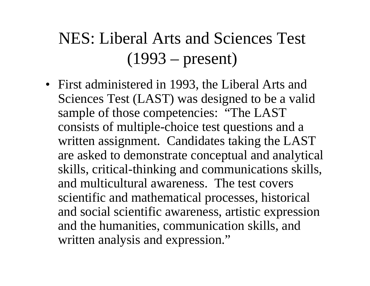### NES: Liberal Arts and Sciences Test (1993 – present)

• First administered in 1993, the Liberal Arts and Sciences Test (LAST) was designed to be a valid sample of those competencies: "The LAST consists of multiple-choice test questions and a written assignment. Candidates taking the LAST are asked to demonstrate conceptual and analytical skills, critical-thinking and communications skills, and multicultural awareness. The test covers scientific and mathematical processes, historical and social scientific awareness, artistic expression and the humanities, communication skills, and written analysis and expression."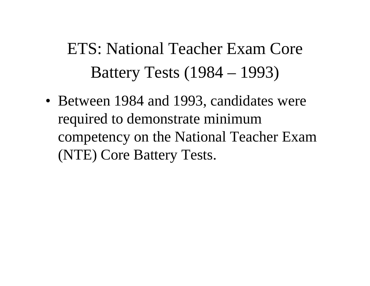### ETS: National Teacher Exam Core Battery Tests (1984 – 1993)

• Between 1984 and 1993, candidates were required to demonstrate minimum competency on the National Teacher Exam (NTE) Core Battery Tests.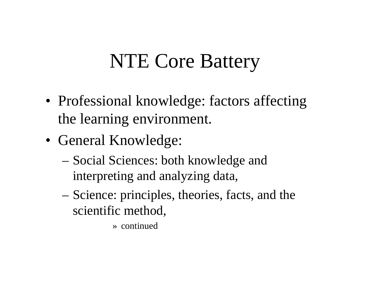# NTE Core Battery

- Professional knowledge: factors affecting the learning environment.
- General Knowledge:
	- – Social Sciences: both knowledge and interpreting and analyzing data,
	- Science: principles, theories, facts, and the scientific method,
		- » continued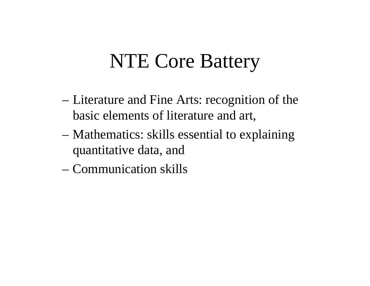# NTE Core Battery

- – Literature and Fine Arts: recognition of the basic elements of literature and art,
- – Mathematics: skills essential to explaining quantitative data, and
- Communication skills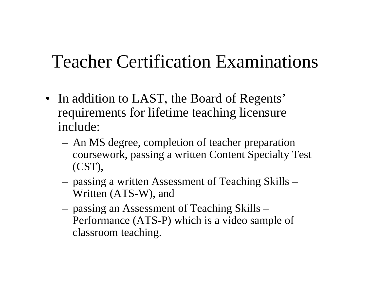### Teacher Certification Examinations

- In addition to LAST, the Board of Regents' requirements for lifetime teaching licensure include:
	- An MS degree, completion of teacher preparation coursework, passing a written Content Specialty Test (CST),
	- passing a written Assessment of Teaching Skills Written (ATS-W), and
	- passing an Assessment of Teaching Skills Performance (ATS-P) which is a video sample of classroom teaching.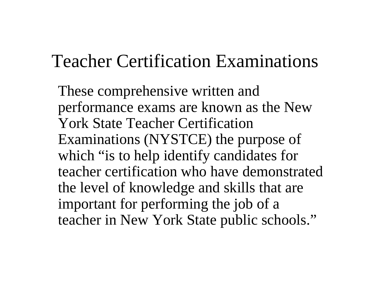### Teacher Certification Examinations

These comprehensive written and performance exams are known as the New York State Teacher Certification Examinations (NYSTCE) the purpose of which "is to help identify candidates for teacher certification who have demonstrated the level of knowledge and skills that are important for performing the job of a teacher in New York State public schools."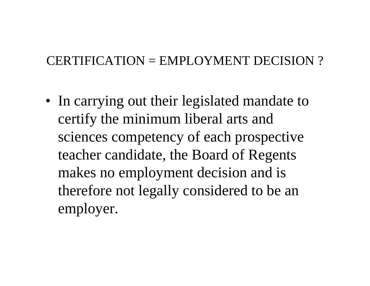#### CERTIFICATION = EMPLOYMENT DECISION ?

• In carrying out their legislated mandate to certify the minimum liberal arts and sciences competency of each prospective teacher candidate, the Board of Regents makes no employment decision and is therefore not legally considered to be an employer.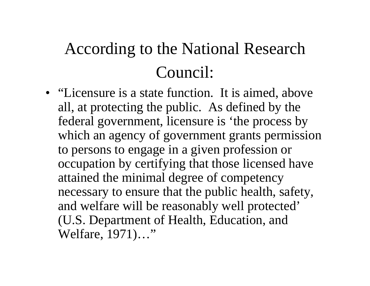### According to the National Research Council:

• "Licensure is a state function. It is aimed, above all, at protecting the public. As defined by the federal government, licensure is 'the process by which an agency of government grants permission to persons to engage in a given profession or occupation by certifying that those licensed have attained the minimal degree of competency necessary to ensure that the public health, safety, and welfare will be reasonably well protected' (U.S. Department of Health, Education, and Welfare, 1971)…"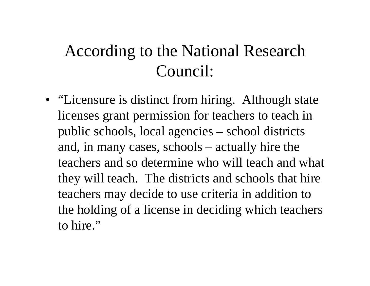### According to the National Research Council:

• "Licensure is distinct from hiring. Although state licenses grant permission for teachers to teach in public schools, local agencies – school districts and, in many cases, schools – actually hire the teachers and so determine who will teach and what they will teach. The districts and schools that hire teachers may decide to use criteria in addition to the holding of a license in deciding which teachers to hire."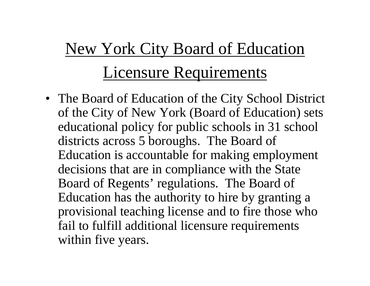# New York City Board of Education Licensure Requirements

• The Board of Education of the City School District of the City of New York (Board of Education) sets educational policy for public schools in 31 school districts across 5 boroughs. The Board of Education is accountable for making employment decisions that are in compliance with the State Board of Regents' regulations. The Board of Education has the authority to hire by granting a provisional teaching license and to fire those who fail to fulfill additional licensure requirements within five years.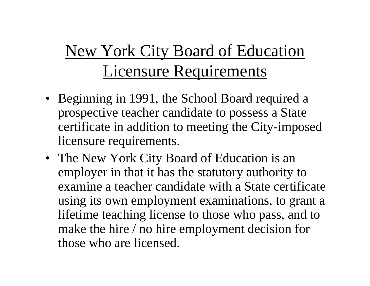### New York City Board of Education Licensure Requirements

- Beginning in 1991, the School Board required a prospective teacher candidate to possess a State certificate in addition to meeting the City-imposed licensure requirements.
- The New York City Board of Education is an employer in that it has the statutory authority to examine a teacher candidate with a State certificate using its own employment examinations, to grant a lifetime teaching license to those who pass, and to make the hire / no hire employment decision for those who are licensed.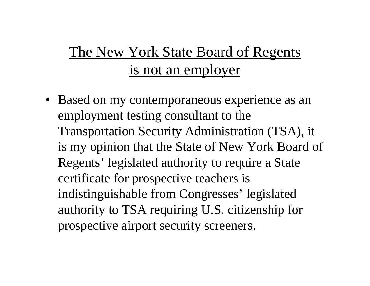### The New York State Board of Regents is not an employer

• Based on my contemporaneous experience as an employment testing consultant to the Transportation Security Administration (TSA), it is my opinion that the State of New York Board of Regents' legislated authority to require a State certificate for prospective teachers is indistinguishable from Congresses' legislated authority to TSA requiring U.S. citizenship for prospective airport security screeners.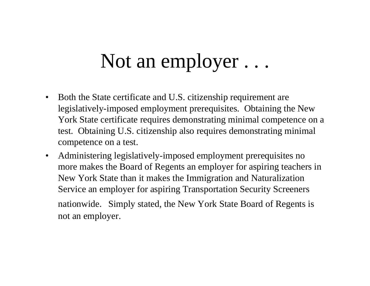### Not an employer . . .

- $\bullet$  Both the State certificate and U.S. citizenship requirement are legislatively-imposed employment prerequisites. Obtaining the New York State certificate requires demonstrating minimal competence on a test. Obtaining U.S. citizenship also requires demonstrating minimal competence on a test.
- $\bullet$  Administering legislatively-imposed employment prerequisites no more makes the Board of Regents an employer for aspiring teachers in New York State than it makes the Immigration and Naturalization Service an employer for aspiring Transportation Security Screeners nationwide. Simply stated, the New York State Board of Regents is not an employer.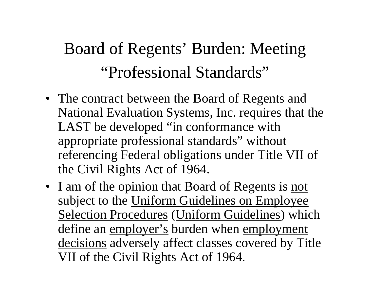### Board of Regents' Burden: Meeting "Professional Standards"

- The contract between the Board of Regents and National Evaluation Systems, Inc. requires that the LAST be developed "in conformance with appropriate professional standards" without referencing Federal obligations under Title VII of the Civil Rights Act of 1964.
- I am of the opinion that Board of Regents is not subject to the Uniform Guidelines on Employee Selection Procedures (Uniform Guidelines) which define an employer's burden when employment decisions adversely affect classes covered by Title VII of the Civil Rights Act of 1964.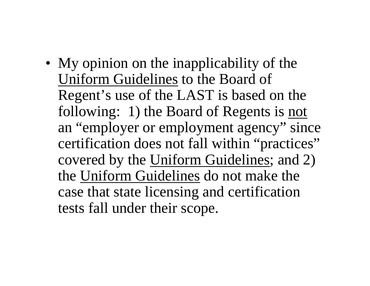• My opinion on the inapplicability of the Uniform Guidelines to the Board of Regent's use of the LAST is based on the following: 1) the Board of Regents is not an "employer or employment agency" since certification does not fall within "practices" covered by the Uniform Guidelines; and 2) the Uniform Guidelines do not make the case that state licensing and certification tests fall under their scope.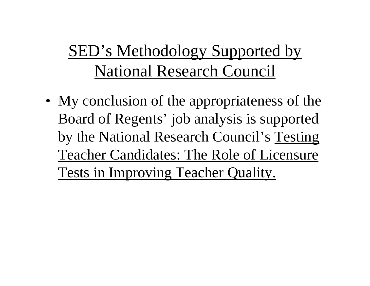### SED's Methodology Supported by National Research Council

• My conclusion of the appropriateness of the Board of Regents' job analysis is supported by the National Research Council's Testing Teacher Candidates: The Role of Licensure Tests in Improving Teacher Quality.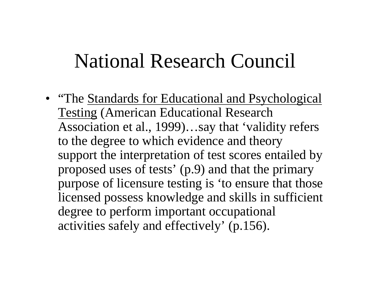• "The Standards for Educational and Psychological Testing (American Educational Research Association et al., 1999)…say that 'validity refers to the degree to which evidence and theory support the interpretation of test scores entailed by proposed uses of tests' (p.9) and that the primary purpose of licensure testing is 'to ensure that those licensed possess knowledge and skills in sufficient degree to perform important occupational activities safely and effectively' (p.156).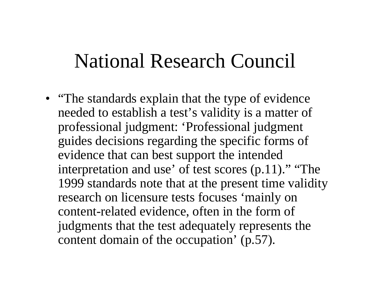• "The standards explain that the type of evidence" needed to establish a test's validity is a matter of professional judgment: 'Professional judgment guides decisions regarding the specific forms of evidence that can best support the intended interpretation and use' of test scores (p.11)." "The 1999 standards note that at the present time validity research on licensure tests focuses 'mainly on content-related evidence, often in the form of judgments that the test adequately represents the content domain of the occupation' (p.57).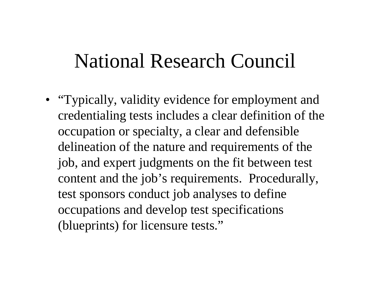• "Typically, validity evidence for employment and credentialing tests includes a clear definition of the occupation or specialty, a clear and defensible delineation of the nature and requirements of the job, and expert judgments on the fit between test content and the job's requirements. Procedurally, test sponsors conduct job analyses to define occupations and develop test specifications (blueprints) for licensure tests."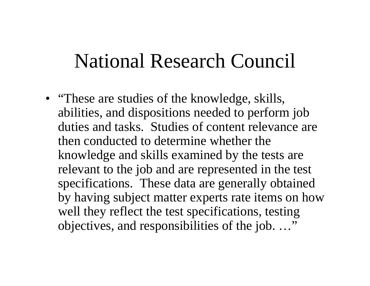• "These are studies of the knowledge, skills, abilities, and dispositions needed to perform job duties and tasks. Studies of content relevance are then conducted to determine whether the knowledge and skills examined by the tests are relevant to the job and are represented in the test specifications. These data are generally obtained by having subject matter experts rate items on how well they reflect the test specifications, testing objectives, and responsibilities of the job. …"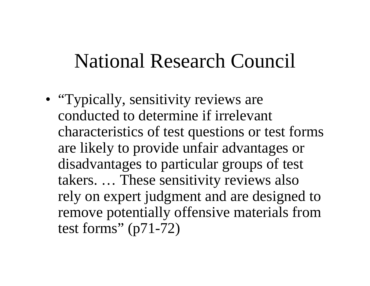• "Typically, sensitivity reviews are conducted to determine if irrelevant characteristics of test questions or test forms are likely to provide unfair advantages or disadvantages to particular groups of test takers. … These sensitivity reviews also rely on expert judgment and are designed to remove potentially offensive materials from test forms" (p71-72)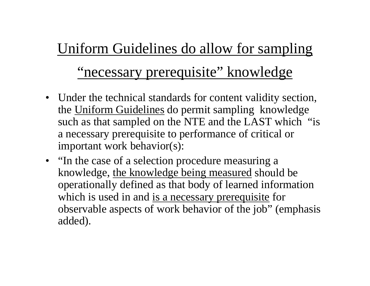### Uniform Guidelines do allow for sampling

### "necessary prerequisite" knowledge

- Under the technical standards for content validity section, the Uniform Guidelines do permit sampling knowledge such as that sampled on the NTE and the LAST which "is" a necessary prerequisite to performance of critical or important work behavior(s):
- "In the case of a selection procedure measuring a knowledge, the knowledge being measured should be operationally defined as that body of learned information which is used in and is a necessary prerequisite for observable aspects of work behavior of the job" (emphasis added).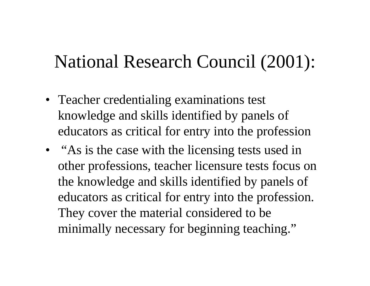### National Research Council (2001):

- Teacher credentialing examinations test knowledge and skills identified by panels of educators as critical for entry into the profession
- "As is the case with the licensing tests used in other professions, teacher licensure tests focus on the knowledge and skills identified by panels of educators as critical for entry into the profession. They cover the material considered to be minimally necessary for beginning teaching."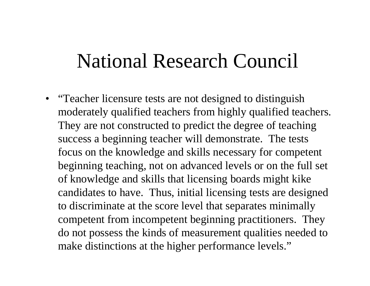• "Teacher licensure tests are not designed to distinguish moderately qualified teachers from highly qualified teachers. They are not constructed to predict the degree of teaching success a beginning teacher will demonstrate. The tests focus on the knowledge and skills necessary for competent beginning teaching, not on advanced levels or on the full set of knowledge and skills that licensing boards might kike candidates to have. Thus, initial licensing tests are designed to discriminate at the score level that separates minimally competent from incompetent beginning practitioners. They do not possess the kinds of measurement qualities needed to make distinctions at the higher performance levels."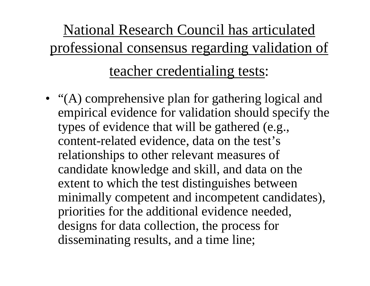### National Research Council has articulated professional consensus regarding validation of

### teacher credentialing tests:

• "(A) comprehensive plan for gathering logical and empirical evidence for validation should specify the types of evidence that will be gathered (e.g., content-related evidence, data on the test's relationships to other relevant measures of candidate knowledge and skill, and data on the extent to which the test distinguishes between minimally competent and incompetent candidates), priorities for the additional evidence needed, designs for data collection, the process for disseminating results, and a time line;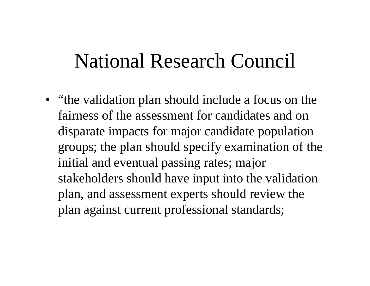• "the validation plan should include a focus on the fairness of the assessment for candidates and on disparate impacts for major candidate population groups; the plan should specify examination of the initial and eventual passing rates; major stakeholders should have input into the validation plan, and assessment experts should review the plan against current professional standards;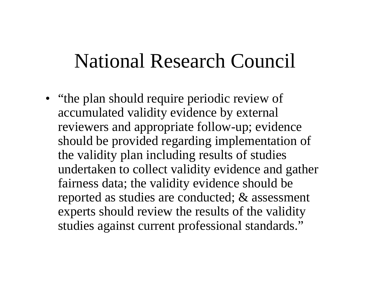• "the plan should require periodic review of accumulated validity evidence by external reviewers and appropriate follow-up; evidence should be provided regarding implementation of the validity plan including results of studies undertaken to collect validity evidence and gather fairness data; the validity evidence should be reported as studies are conducted; & assessment experts should review the results of the validity studies against current professional standards."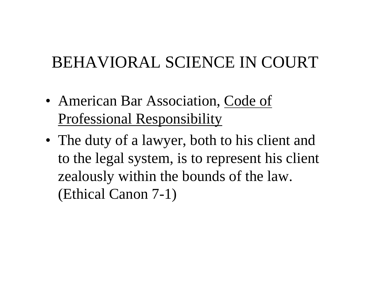- American Bar Association, Code of Professional Responsibility
- The duty of a lawyer, both to his client and to the legal system, is to represent his client zealously within the bounds of the law. (Ethical Canon 7-1)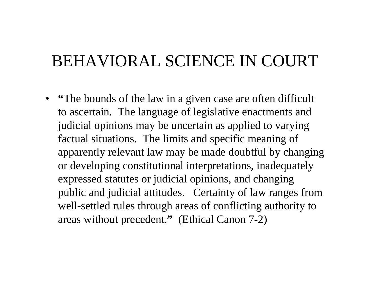• **"The bounds of the law in a given case are often difficult** to ascertain. The language of legislative enactments and judicial opinions may be uncertain as applied to varying factual situations. The limits and specific meaning of apparently relevant law may be made doubtful by changing or developing constitutional interpretations, inadequately expressed statutes or judicial opinions, and changing public and judicial attitudes. Certainty of law ranges from well-settled rules through areas of conflicting authority to areas without precedent. **"** (Ethical Canon 7-2)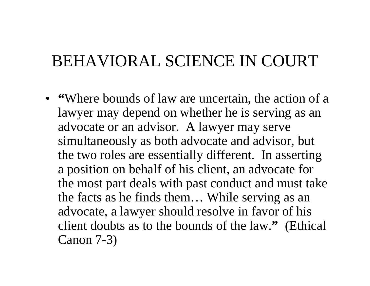• **Where bounds of law are uncertain, the action of a** lawyer may depend on whether he is serving as an advocate or an advisor. A lawyer may serve simultaneously as both advocate and advisor, but the two roles are essentially different. In asserting a position on behalf of his client, an advocate for the most part deals with past conduct and must take the facts as he finds them… While serving as an advocate, a lawyer should resolve in favor of his client doubts as to the bounds of the law. **"** (Ethical Canon 7-3)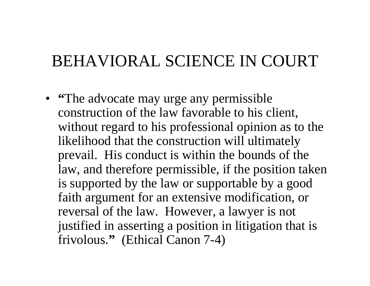• **"The advocate may urge any permissible** construction of the law favorable to his client, without regard to his professional opinion as to the likelihood that the construction will ultimately prevail. His conduct is within the bounds of the law, and therefore permissible, if the position taken is supported by the law or supportable by a good faith argument for an extensive modification, or reversal of the law. However, a lawyer is not justified in asserting a position in litigation that is frivolous. **"** (Ethical Canon 7-4)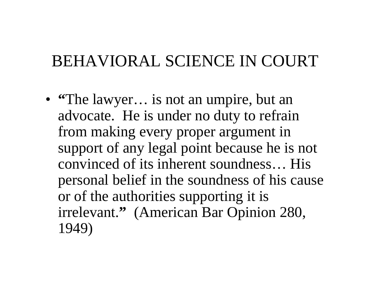• "The lawyer... is not an umpire, but an advocate. He is under no duty to refrain from making every proper argument in support of any legal point because he is not convinced of its inherent soundness… His personal belief in the soundness of his cause or of the authorities supporting it is irrelevant. **"** (American Bar Opinion 280, 1949)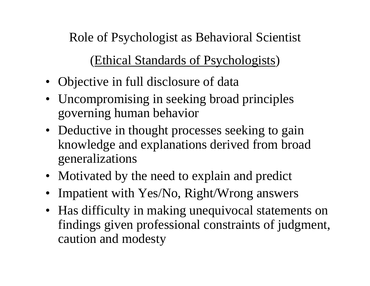Role of Psychologist as Behavioral Scientist

#### (Ethical Standards of Psychologists )

- Objective in full disclosure of data
- Uncompromising in seeking broad principles governing human behavior
- Deductive in thought processes seeking to gain knowledge and explanations derived from broad generalizations
- Motivated by the need to explain and predict
- •Impatient with Yes/No, Right/Wrong answers
- Has difficulty in making unequivocal statements on findings given professional constraints of judgment, caution and modesty